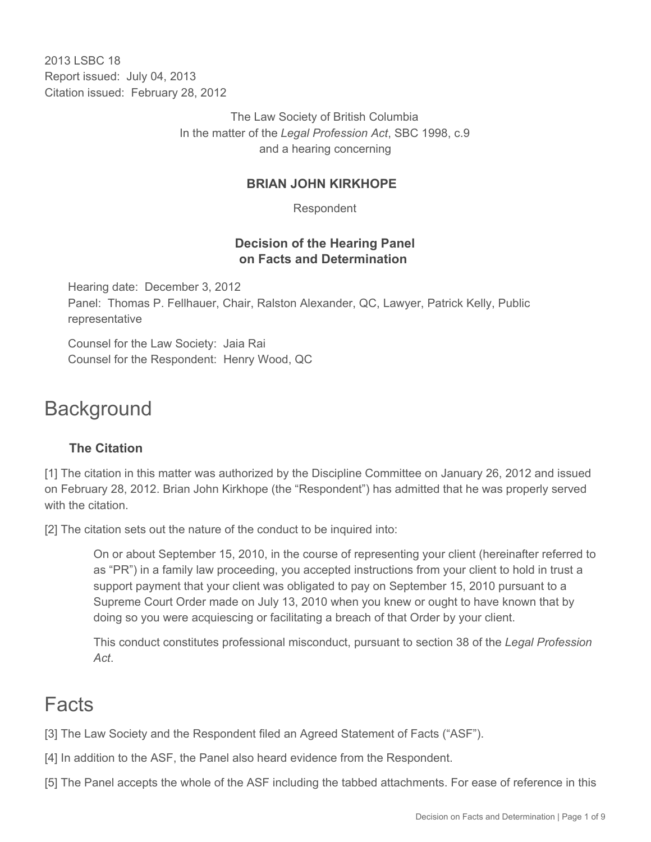2013 LSBC 18 Report issued: July 04, 2013 Citation issued: February 28, 2012

> The Law Society of British Columbia In the matter of the *Legal Profession Act*, SBC 1998, c.9 and a hearing concerning

## **BRIAN JOHN KIRKHOPE**

Respondent

## **Decision of the Hearing Panel on Facts and Determination**

Hearing date: December 3, 2012 Panel: Thomas P. Fellhauer, Chair, Ralston Alexander, QC, Lawyer, Patrick Kelly, Public representative

Counsel for the Law Society: Jaia Rai Counsel for the Respondent: Henry Wood, QC

# **Background**

## **The Citation**

[1] The citation in this matter was authorized by the Discipline Committee on January 26, 2012 and issued on February 28, 2012. Brian John Kirkhope (the "Respondent") has admitted that he was properly served with the citation.

[2] The citation sets out the nature of the conduct to be inquired into:

On or about September 15, 2010, in the course of representing your client (hereinafter referred to as "PR") in a family law proceeding, you accepted instructions from your client to hold in trust a support payment that your client was obligated to pay on September 15, 2010 pursuant to a Supreme Court Order made on July 13, 2010 when you knew or ought to have known that by doing so you were acquiescing or facilitating a breach of that Order by your client.

This conduct constitutes professional misconduct, pursuant to section 38 of the *Legal Profession Act*.

# Facts

[3] The Law Society and the Respondent filed an Agreed Statement of Facts ("ASF").

[4] In addition to the ASF, the Panel also heard evidence from the Respondent.

[5] The Panel accepts the whole of the ASF including the tabbed attachments. For ease of reference in this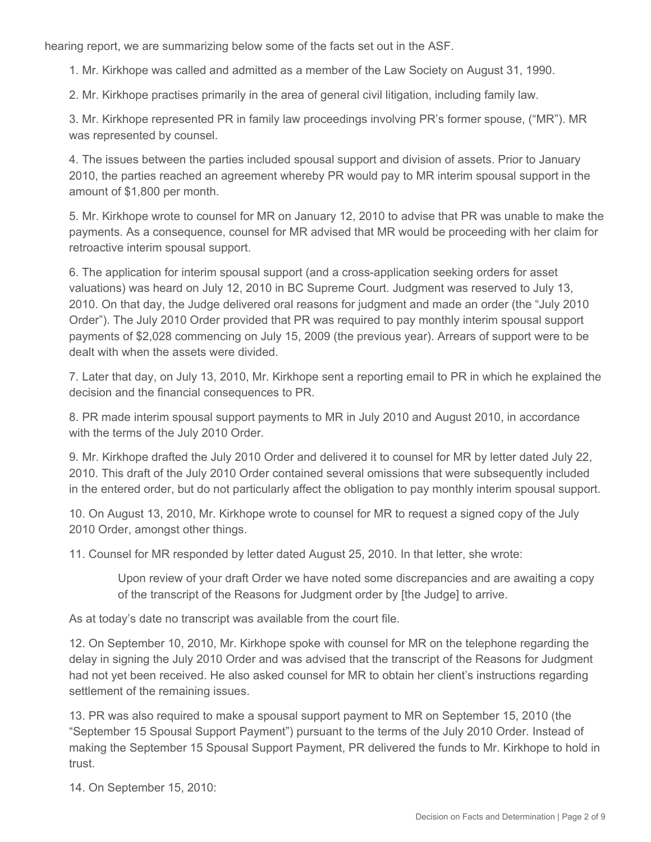hearing report, we are summarizing below some of the facts set out in the ASF.

1. Mr. Kirkhope was called and admitted as a member of the Law Society on August 31, 1990.

2. Mr. Kirkhope practises primarily in the area of general civil litigation, including family law.

3. Mr. Kirkhope represented PR in family law proceedings involving PR's former spouse, ("MR"). MR was represented by counsel.

4. The issues between the parties included spousal support and division of assets. Prior to January 2010, the parties reached an agreement whereby PR would pay to MR interim spousal support in the amount of \$1,800 per month.

5. Mr. Kirkhope wrote to counsel for MR on January 12, 2010 to advise that PR was unable to make the payments. As a consequence, counsel for MR advised that MR would be proceeding with her claim for retroactive interim spousal support.

6. The application for interim spousal support (and a cross-application seeking orders for asset valuations) was heard on July 12, 2010 in BC Supreme Court. Judgment was reserved to July 13, 2010. On that day, the Judge delivered oral reasons for judgment and made an order (the "July 2010 Order"). The July 2010 Order provided that PR was required to pay monthly interim spousal support payments of \$2,028 commencing on July 15, 2009 (the previous year). Arrears of support were to be dealt with when the assets were divided.

7. Later that day, on July 13, 2010, Mr. Kirkhope sent a reporting email to PR in which he explained the decision and the financial consequences to PR.

8. PR made interim spousal support payments to MR in July 2010 and August 2010, in accordance with the terms of the July 2010 Order.

9. Mr. Kirkhope drafted the July 2010 Order and delivered it to counsel for MR by letter dated July 22, 2010. This draft of the July 2010 Order contained several omissions that were subsequently included in the entered order, but do not particularly affect the obligation to pay monthly interim spousal support.

10. On August 13, 2010, Mr. Kirkhope wrote to counsel for MR to request a signed copy of the July 2010 Order, amongst other things.

11. Counsel for MR responded by letter dated August 25, 2010. In that letter, she wrote:

Upon review of your draft Order we have noted some discrepancies and are awaiting a copy of the transcript of the Reasons for Judgment order by [the Judge] to arrive.

As at today's date no transcript was available from the court file.

12. On September 10, 2010, Mr. Kirkhope spoke with counsel for MR on the telephone regarding the delay in signing the July 2010 Order and was advised that the transcript of the Reasons for Judgment had not yet been received. He also asked counsel for MR to obtain her client's instructions regarding settlement of the remaining issues.

13. PR was also required to make a spousal support payment to MR on September 15, 2010 (the "September 15 Spousal Support Payment") pursuant to the terms of the July 2010 Order. Instead of making the September 15 Spousal Support Payment, PR delivered the funds to Mr. Kirkhope to hold in trust.

14. On September 15, 2010: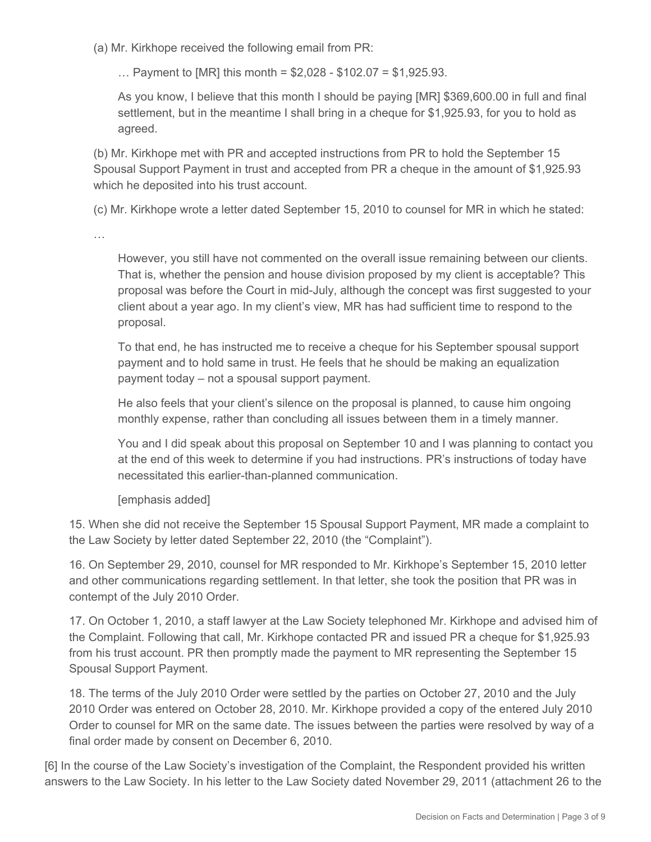(a) Mr. Kirkhope received the following email from PR:

 $\ldots$  Payment to [MR] this month = \$2,028 - \$102.07 = \$1,925.93.

As you know, I believe that this month I should be paying [MR] \$369,600.00 in full and final settlement, but in the meantime I shall bring in a cheque for \$1,925.93, for you to hold as agreed.

(b) Mr. Kirkhope met with PR and accepted instructions from PR to hold the September 15 Spousal Support Payment in trust and accepted from PR a cheque in the amount of \$1,925.93 which he deposited into his trust account.

(c) Mr. Kirkhope wrote a letter dated September 15, 2010 to counsel for MR in which he stated:

…

However, you still have not commented on the overall issue remaining between our clients. That is, whether the pension and house division proposed by my client is acceptable? This proposal was before the Court in mid-July, although the concept was first suggested to your client about a year ago. In my client's view, MR has had sufficient time to respond to the proposal.

To that end, he has instructed me to receive a cheque for his September spousal support payment and to hold same in trust. He feels that he should be making an equalization payment today – not a spousal support payment.

He also feels that your client's silence on the proposal is planned, to cause him ongoing monthly expense, rather than concluding all issues between them in a timely manner.

You and I did speak about this proposal on September 10 and I was planning to contact you at the end of this week to determine if you had instructions. PR's instructions of today have necessitated this earlier-than-planned communication.

[emphasis added]

15. When she did not receive the September 15 Spousal Support Payment, MR made a complaint to the Law Society by letter dated September 22, 2010 (the "Complaint").

16. On September 29, 2010, counsel for MR responded to Mr. Kirkhope's September 15, 2010 letter and other communications regarding settlement. In that letter, she took the position that PR was in contempt of the July 2010 Order.

17. On October 1, 2010, a staff lawyer at the Law Society telephoned Mr. Kirkhope and advised him of the Complaint. Following that call, Mr. Kirkhope contacted PR and issued PR a cheque for \$1,925.93 from his trust account. PR then promptly made the payment to MR representing the September 15 Spousal Support Payment.

18. The terms of the July 2010 Order were settled by the parties on October 27, 2010 and the July 2010 Order was entered on October 28, 2010. Mr. Kirkhope provided a copy of the entered July 2010 Order to counsel for MR on the same date. The issues between the parties were resolved by way of a final order made by consent on December 6, 2010.

[6] In the course of the Law Society's investigation of the Complaint, the Respondent provided his written answers to the Law Society. In his letter to the Law Society dated November 29, 2011 (attachment 26 to the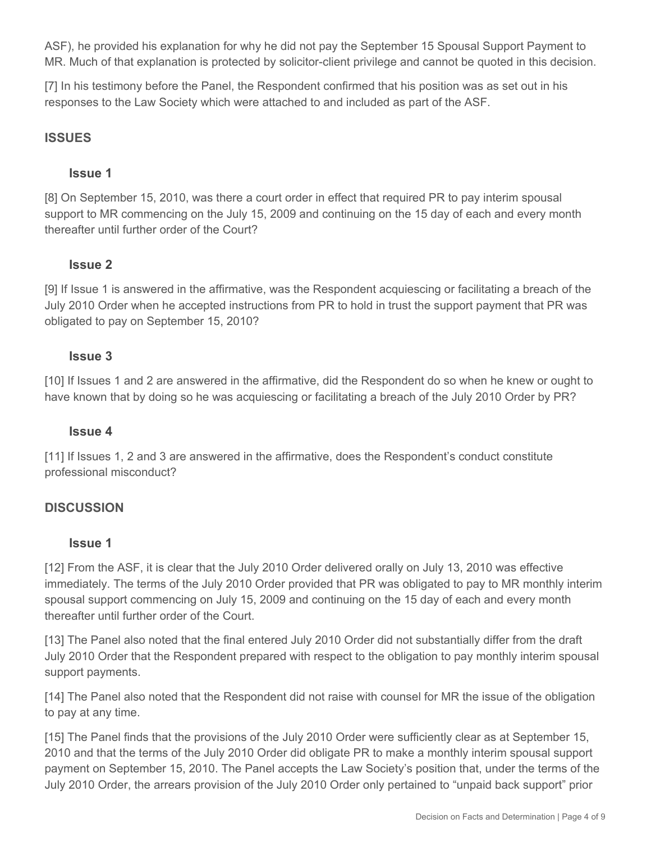ASF), he provided his explanation for why he did not pay the September 15 Spousal Support Payment to MR. Much of that explanation is protected by solicitor-client privilege and cannot be quoted in this decision.

[7] In his testimony before the Panel, the Respondent confirmed that his position was as set out in his responses to the Law Society which were attached to and included as part of the ASF.

#### **ISSUES**

#### **Issue 1**

[8] On September 15, 2010, was there a court order in effect that required PR to pay interim spousal support to MR commencing on the July 15, 2009 and continuing on the 15 day of each and every month thereafter until further order of the Court?

#### **Issue 2**

[9] If Issue 1 is answered in the affirmative, was the Respondent acquiescing or facilitating a breach of the July 2010 Order when he accepted instructions from PR to hold in trust the support payment that PR was obligated to pay on September 15, 2010?

#### **Issue 3**

[10] If Issues 1 and 2 are answered in the affirmative, did the Respondent do so when he knew or ought to have known that by doing so he was acquiescing or facilitating a breach of the July 2010 Order by PR?

#### **Issue 4**

[11] If Issues 1, 2 and 3 are answered in the affirmative, does the Respondent's conduct constitute professional misconduct?

#### **DISCUSSION**

#### **Issue 1**

[12] From the ASF, it is clear that the July 2010 Order delivered orally on July 13, 2010 was effective immediately. The terms of the July 2010 Order provided that PR was obligated to pay to MR monthly interim spousal support commencing on July 15, 2009 and continuing on the 15 day of each and every month thereafter until further order of the Court.

[13] The Panel also noted that the final entered July 2010 Order did not substantially differ from the draft July 2010 Order that the Respondent prepared with respect to the obligation to pay monthly interim spousal support payments.

[14] The Panel also noted that the Respondent did not raise with counsel for MR the issue of the obligation to pay at any time.

[15] The Panel finds that the provisions of the July 2010 Order were sufficiently clear as at September 15, 2010 and that the terms of the July 2010 Order did obligate PR to make a monthly interim spousal support payment on September 15, 2010. The Panel accepts the Law Society's position that, under the terms of the July 2010 Order, the arrears provision of the July 2010 Order only pertained to "unpaid back support" prior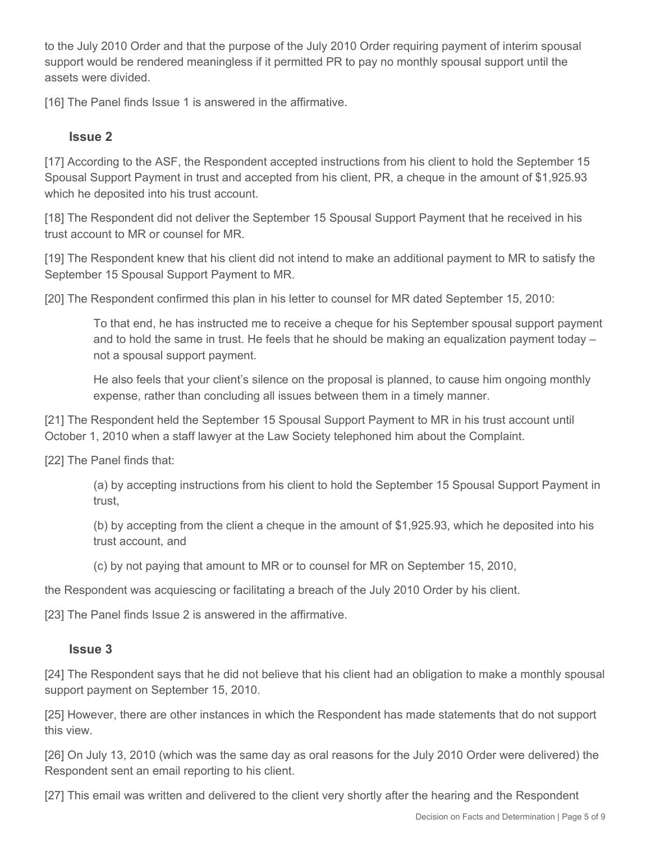to the July 2010 Order and that the purpose of the July 2010 Order requiring payment of interim spousal support would be rendered meaningless if it permitted PR to pay no monthly spousal support until the assets were divided.

[16] The Panel finds Issue 1 is answered in the affirmative.

### **Issue 2**

[17] According to the ASF, the Respondent accepted instructions from his client to hold the September 15 Spousal Support Payment in trust and accepted from his client, PR, a cheque in the amount of \$1,925.93 which he deposited into his trust account.

[18] The Respondent did not deliver the September 15 Spousal Support Payment that he received in his trust account to MR or counsel for MR.

[19] The Respondent knew that his client did not intend to make an additional payment to MR to satisfy the September 15 Spousal Support Payment to MR.

[20] The Respondent confirmed this plan in his letter to counsel for MR dated September 15, 2010:

To that end, he has instructed me to receive a cheque for his September spousal support payment and to hold the same in trust. He feels that he should be making an equalization payment today – not a spousal support payment.

He also feels that your client's silence on the proposal is planned, to cause him ongoing monthly expense, rather than concluding all issues between them in a timely manner.

[21] The Respondent held the September 15 Spousal Support Payment to MR in his trust account until October 1, 2010 when a staff lawyer at the Law Society telephoned him about the Complaint.

[22] The Panel finds that:

(a) by accepting instructions from his client to hold the September 15 Spousal Support Payment in trust,

(b) by accepting from the client a cheque in the amount of \$1,925.93, which he deposited into his trust account, and

(c) by not paying that amount to MR or to counsel for MR on September 15, 2010,

the Respondent was acquiescing or facilitating a breach of the July 2010 Order by his client.

[23] The Panel finds Issue 2 is answered in the affirmative.

#### **Issue 3**

[24] The Respondent says that he did not believe that his client had an obligation to make a monthly spousal support payment on September 15, 2010.

[25] However, there are other instances in which the Respondent has made statements that do not support this view.

[26] On July 13, 2010 (which was the same day as oral reasons for the July 2010 Order were delivered) the Respondent sent an email reporting to his client.

[27] This email was written and delivered to the client very shortly after the hearing and the Respondent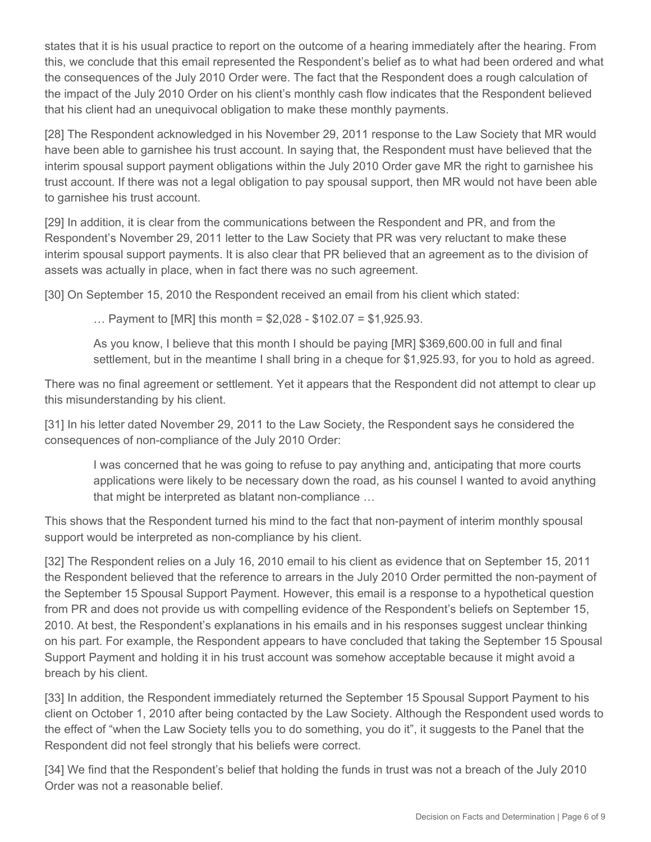states that it is his usual practice to report on the outcome of a hearing immediately after the hearing. From this, we conclude that this email represented the Respondent's belief as to what had been ordered and what the consequences of the July 2010 Order were. The fact that the Respondent does a rough calculation of the impact of the July 2010 Order on his client's monthly cash flow indicates that the Respondent believed that his client had an unequivocal obligation to make these monthly payments.

[28] The Respondent acknowledged in his November 29, 2011 response to the Law Society that MR would have been able to garnishee his trust account. In saying that, the Respondent must have believed that the interim spousal support payment obligations within the July 2010 Order gave MR the right to garnishee his trust account. If there was not a legal obligation to pay spousal support, then MR would not have been able to garnishee his trust account.

[29] In addition, it is clear from the communications between the Respondent and PR, and from the Respondent's November 29, 2011 letter to the Law Society that PR was very reluctant to make these interim spousal support payments. It is also clear that PR believed that an agreement as to the division of assets was actually in place, when in fact there was no such agreement.

[30] On September 15, 2010 the Respondent received an email from his client which stated:

... Payment to [MR] this month =  $$2,028 - $102.07 = $1,925.93$ .

As you know, I believe that this month I should be paying [MR] \$369,600.00 in full and final settlement, but in the meantime I shall bring in a cheque for \$1,925.93, for you to hold as agreed.

There was no final agreement or settlement. Yet it appears that the Respondent did not attempt to clear up this misunderstanding by his client.

[31] In his letter dated November 29, 2011 to the Law Society, the Respondent says he considered the consequences of non-compliance of the July 2010 Order:

I was concerned that he was going to refuse to pay anything and, anticipating that more courts applications were likely to be necessary down the road, as his counsel I wanted to avoid anything that might be interpreted as blatant non-compliance …

This shows that the Respondent turned his mind to the fact that non-payment of interim monthly spousal support would be interpreted as non-compliance by his client.

[32] The Respondent relies on a July 16, 2010 email to his client as evidence that on September 15, 2011 the Respondent believed that the reference to arrears in the July 2010 Order permitted the non-payment of the September 15 Spousal Support Payment. However, this email is a response to a hypothetical question from PR and does not provide us with compelling evidence of the Respondent's beliefs on September 15, 2010. At best, the Respondent's explanations in his emails and in his responses suggest unclear thinking on his part. For example, the Respondent appears to have concluded that taking the September 15 Spousal Support Payment and holding it in his trust account was somehow acceptable because it might avoid a breach by his client.

[33] In addition, the Respondent immediately returned the September 15 Spousal Support Payment to his client on October 1, 2010 after being contacted by the Law Society. Although the Respondent used words to the effect of "when the Law Society tells you to do something, you do it", it suggests to the Panel that the Respondent did not feel strongly that his beliefs were correct.

[34] We find that the Respondent's belief that holding the funds in trust was not a breach of the July 2010 Order was not a reasonable belief.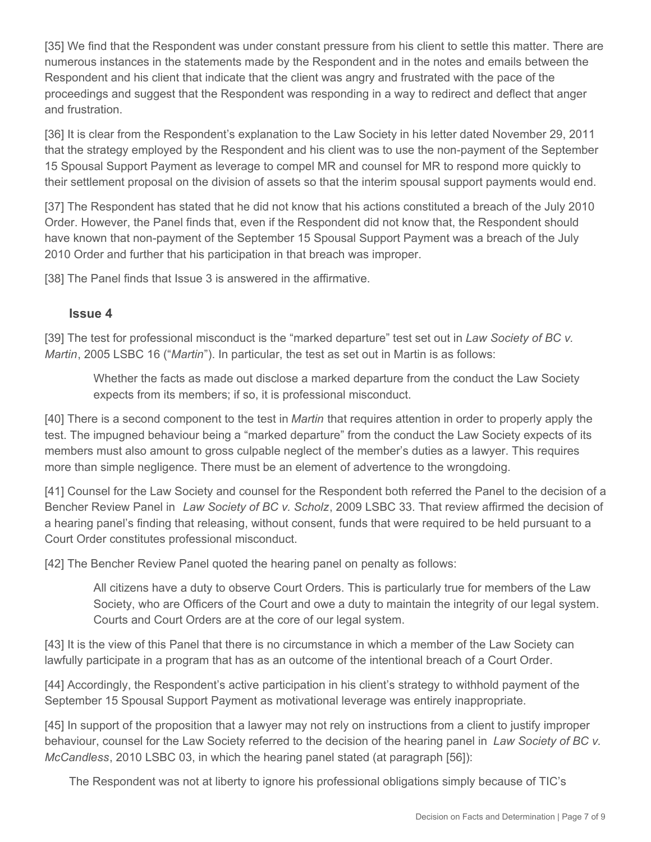[35] We find that the Respondent was under constant pressure from his client to settle this matter. There are numerous instances in the statements made by the Respondent and in the notes and emails between the Respondent and his client that indicate that the client was angry and frustrated with the pace of the proceedings and suggest that the Respondent was responding in a way to redirect and deflect that anger and frustration.

[36] It is clear from the Respondent's explanation to the Law Society in his letter dated November 29, 2011 that the strategy employed by the Respondent and his client was to use the non-payment of the September 15 Spousal Support Payment as leverage to compel MR and counsel for MR to respond more quickly to their settlement proposal on the division of assets so that the interim spousal support payments would end.

[37] The Respondent has stated that he did not know that his actions constituted a breach of the July 2010 Order. However, the Panel finds that, even if the Respondent did not know that, the Respondent should have known that non-payment of the September 15 Spousal Support Payment was a breach of the July 2010 Order and further that his participation in that breach was improper.

[38] The Panel finds that Issue 3 is answered in the affirmative.

### **Issue 4**

[39] The test for professional misconduct is the "marked departure" test set out in *Law Society of BC v. Martin*, 2005 LSBC 16 ("*Martin*"). In particular, the test as set out in Martin is as follows:

Whether the facts as made out disclose a marked departure from the conduct the Law Society expects from its members; if so, it is professional misconduct.

[40] There is a second component to the test in *Martin* that requires attention in order to properly apply the test. The impugned behaviour being a "marked departure" from the conduct the Law Society expects of its members must also amount to gross culpable neglect of the member's duties as a lawyer. This requires more than simple negligence. There must be an element of advertence to the wrongdoing.

[41] Counsel for the Law Society and counsel for the Respondent both referred the Panel to the decision of a Bencher Review Panel in *Law Society of BC v. Scholz*, 2009 LSBC 33. That review affirmed the decision of a hearing panel's finding that releasing, without consent, funds that were required to be held pursuant to a Court Order constitutes professional misconduct.

[42] The Bencher Review Panel quoted the hearing panel on penalty as follows:

All citizens have a duty to observe Court Orders. This is particularly true for members of the Law Society, who are Officers of the Court and owe a duty to maintain the integrity of our legal system. Courts and Court Orders are at the core of our legal system.

[43] It is the view of this Panel that there is no circumstance in which a member of the Law Society can lawfully participate in a program that has as an outcome of the intentional breach of a Court Order.

[44] Accordingly, the Respondent's active participation in his client's strategy to withhold payment of the September 15 Spousal Support Payment as motivational leverage was entirely inappropriate.

[45] In support of the proposition that a lawyer may not rely on instructions from a client to justify improper behaviour, counsel for the Law Society referred to the decision of the hearing panel in *Law Society of BC v. McCandless*, 2010 LSBC 03, in which the hearing panel stated (at paragraph [56]):

The Respondent was not at liberty to ignore his professional obligations simply because of TIC's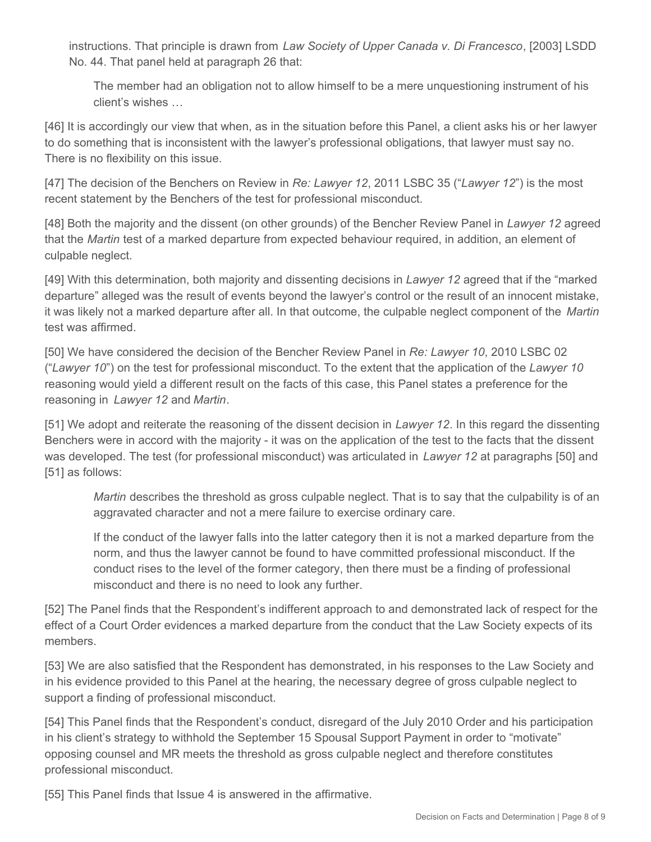instructions. That principle is drawn from *Law Society of Upper Canada v. Di Francesco*, [2003] LSDD No. 44. That panel held at paragraph 26 that:

The member had an obligation not to allow himself to be a mere unquestioning instrument of his client's wishes …

[46] It is accordingly our view that when, as in the situation before this Panel, a client asks his or her lawyer to do something that is inconsistent with the lawyer's professional obligations, that lawyer must say no. There is no flexibility on this issue.

[47] The decision of the Benchers on Review in *Re: Lawyer 12*, 2011 LSBC 35 ("*Lawyer 12*") is the most recent statement by the Benchers of the test for professional misconduct.

[48] Both the majority and the dissent (on other grounds) of the Bencher Review Panel in *Lawyer 12* agreed that the *Martin* test of a marked departure from expected behaviour required, in addition, an element of culpable neglect.

[49] With this determination, both majority and dissenting decisions in *Lawyer 12* agreed that if the "marked departure" alleged was the result of events beyond the lawyer's control or the result of an innocent mistake, it was likely not a marked departure after all. In that outcome, the culpable neglect component of the *Martin*  test was affirmed.

[50] We have considered the decision of the Bencher Review Panel in *Re: Lawyer 10*, 2010 LSBC 02 ("*Lawyer 10*") on the test for professional misconduct. To the extent that the application of the *Lawyer 10*  reasoning would yield a different result on the facts of this case, this Panel states a preference for the reasoning in *Lawyer 12* and *Martin*.

[51] We adopt and reiterate the reasoning of the dissent decision in *Lawyer 12*. In this regard the dissenting Benchers were in accord with the majority - it was on the application of the test to the facts that the dissent was developed. The test (for professional misconduct) was articulated in *Lawyer 12* at paragraphs [50] and [51] as follows:

*Martin* describes the threshold as gross culpable neglect. That is to say that the culpability is of an aggravated character and not a mere failure to exercise ordinary care.

If the conduct of the lawyer falls into the latter category then it is not a marked departure from the norm, and thus the lawyer cannot be found to have committed professional misconduct. If the conduct rises to the level of the former category, then there must be a finding of professional misconduct and there is no need to look any further.

[52] The Panel finds that the Respondent's indifferent approach to and demonstrated lack of respect for the effect of a Court Order evidences a marked departure from the conduct that the Law Society expects of its members.

[53] We are also satisfied that the Respondent has demonstrated, in his responses to the Law Society and in his evidence provided to this Panel at the hearing, the necessary degree of gross culpable neglect to support a finding of professional misconduct.

[54] This Panel finds that the Respondent's conduct, disregard of the July 2010 Order and his participation in his client's strategy to withhold the September 15 Spousal Support Payment in order to "motivate" opposing counsel and MR meets the threshold as gross culpable neglect and therefore constitutes professional misconduct.

[55] This Panel finds that Issue 4 is answered in the affirmative.